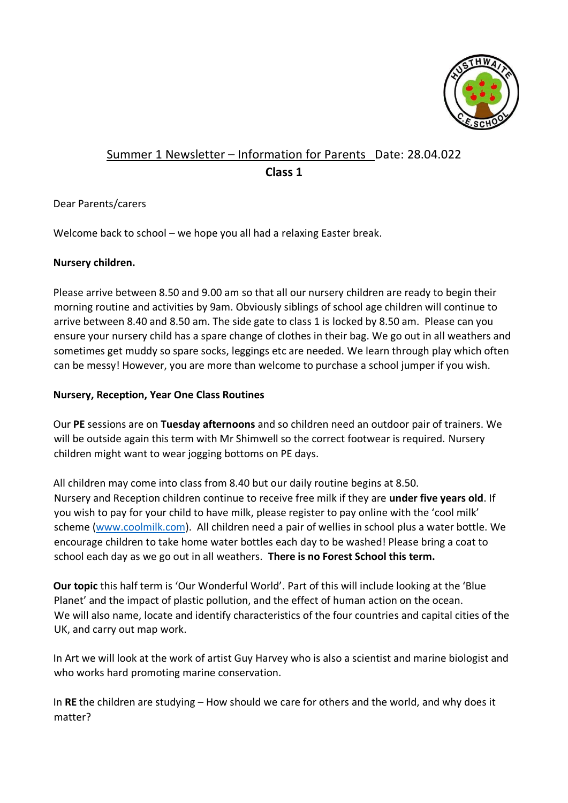

# Summer 1 Newsletter – Information for Parents Date: 28.04.022 **Class 1**

## Dear Parents/carers

Welcome back to school – we hope you all had a relaxing Easter break.

## **Nursery children.**

Please arrive between 8.50 and 9.00 am so that all our nursery children are ready to begin their morning routine and activities by 9am. Obviously siblings of school age children will continue to arrive between 8.40 and 8.50 am. The side gate to class 1 is locked by 8.50 am. Please can you ensure your nursery child has a spare change of clothes in their bag. We go out in all weathers and sometimes get muddy so spare socks, leggings etc are needed. We learn through play which often can be messy! However, you are more than welcome to purchase a school jumper if you wish.

## **Nursery, Reception, Year One Class Routines**

Our **PE** sessions are on **Tuesday afternoons** and so children need an outdoor pair of trainers. We will be outside again this term with Mr Shimwell so the correct footwear is required. Nursery children might want to wear jogging bottoms on PE days.

All children may come into class from 8.40 but our daily routine begins at 8.50. Nursery and Reception children continue to receive free milk if they are **under five years old**. If you wish to pay for your child to have milk, please register to pay online with the 'cool milk' scheme [\(www.coolmilk.com\).](http://www.coolmilk.com/) All children need a pair of wellies in school plus a water bottle. We encourage children to take home water bottles each day to be washed! Please bring a coat to school each day as we go out in all weathers. **There is no Forest School this term.**

**Our topic** this half term is 'Our Wonderful World'. Part of this will include looking at the 'Blue Planet' and the impact of plastic pollution, and the effect of human action on the ocean. We will also name, locate and identify characteristics of the four countries and capital cities of the UK, and carry out map work.

In Art we will look at the work of artist Guy Harvey who is also a scientist and marine biologist and who works hard promoting marine conservation.

In **RE** the children are studying – How should we care for others and the world, and why does it matter?